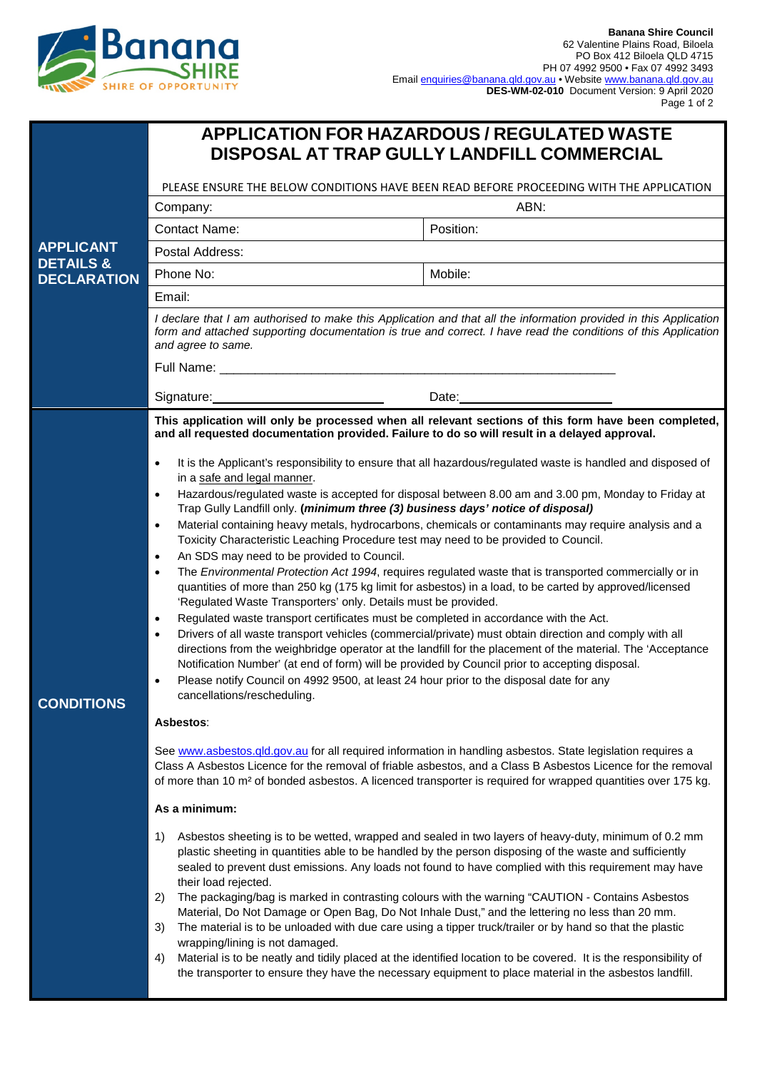

| <b>APPLICATION FOR HAZARDOUS / REGULATED WASTE</b><br>DISPOSAL AT TRAP GULLY LANDFILL COMMERCIAL                                                                                                                                                                                                                                                                                                                                                                                                                                                                                                                                                                                                                                                                                                                                                                                                                                          |                                                                                                                                                                                                                                                                                                                                                                                                                                                                                                                                                                                                                                                                                                                                                                                                                                                                                                                                                                                                                                                                                                                                                                                                                                                                                                                                                                                                                                                                                                                                                                                                                                                                                                                                                                                                                                                                                                                                                                                                                                                                                                                             |  |
|-------------------------------------------------------------------------------------------------------------------------------------------------------------------------------------------------------------------------------------------------------------------------------------------------------------------------------------------------------------------------------------------------------------------------------------------------------------------------------------------------------------------------------------------------------------------------------------------------------------------------------------------------------------------------------------------------------------------------------------------------------------------------------------------------------------------------------------------------------------------------------------------------------------------------------------------|-----------------------------------------------------------------------------------------------------------------------------------------------------------------------------------------------------------------------------------------------------------------------------------------------------------------------------------------------------------------------------------------------------------------------------------------------------------------------------------------------------------------------------------------------------------------------------------------------------------------------------------------------------------------------------------------------------------------------------------------------------------------------------------------------------------------------------------------------------------------------------------------------------------------------------------------------------------------------------------------------------------------------------------------------------------------------------------------------------------------------------------------------------------------------------------------------------------------------------------------------------------------------------------------------------------------------------------------------------------------------------------------------------------------------------------------------------------------------------------------------------------------------------------------------------------------------------------------------------------------------------------------------------------------------------------------------------------------------------------------------------------------------------------------------------------------------------------------------------------------------------------------------------------------------------------------------------------------------------------------------------------------------------------------------------------------------------------------------------------------------------|--|
| PLEASE ENSURE THE BELOW CONDITIONS HAVE BEEN READ BEFORE PROCEEDING WITH THE APPLICATION                                                                                                                                                                                                                                                                                                                                                                                                                                                                                                                                                                                                                                                                                                                                                                                                                                                  |                                                                                                                                                                                                                                                                                                                                                                                                                                                                                                                                                                                                                                                                                                                                                                                                                                                                                                                                                                                                                                                                                                                                                                                                                                                                                                                                                                                                                                                                                                                                                                                                                                                                                                                                                                                                                                                                                                                                                                                                                                                                                                                             |  |
| Company:                                                                                                                                                                                                                                                                                                                                                                                                                                                                                                                                                                                                                                                                                                                                                                                                                                                                                                                                  | ABN:                                                                                                                                                                                                                                                                                                                                                                                                                                                                                                                                                                                                                                                                                                                                                                                                                                                                                                                                                                                                                                                                                                                                                                                                                                                                                                                                                                                                                                                                                                                                                                                                                                                                                                                                                                                                                                                                                                                                                                                                                                                                                                                        |  |
| <b>Contact Name:</b>                                                                                                                                                                                                                                                                                                                                                                                                                                                                                                                                                                                                                                                                                                                                                                                                                                                                                                                      | Position:                                                                                                                                                                                                                                                                                                                                                                                                                                                                                                                                                                                                                                                                                                                                                                                                                                                                                                                                                                                                                                                                                                                                                                                                                                                                                                                                                                                                                                                                                                                                                                                                                                                                                                                                                                                                                                                                                                                                                                                                                                                                                                                   |  |
| Postal Address:                                                                                                                                                                                                                                                                                                                                                                                                                                                                                                                                                                                                                                                                                                                                                                                                                                                                                                                           |                                                                                                                                                                                                                                                                                                                                                                                                                                                                                                                                                                                                                                                                                                                                                                                                                                                                                                                                                                                                                                                                                                                                                                                                                                                                                                                                                                                                                                                                                                                                                                                                                                                                                                                                                                                                                                                                                                                                                                                                                                                                                                                             |  |
| Phone No:                                                                                                                                                                                                                                                                                                                                                                                                                                                                                                                                                                                                                                                                                                                                                                                                                                                                                                                                 | Mobile:                                                                                                                                                                                                                                                                                                                                                                                                                                                                                                                                                                                                                                                                                                                                                                                                                                                                                                                                                                                                                                                                                                                                                                                                                                                                                                                                                                                                                                                                                                                                                                                                                                                                                                                                                                                                                                                                                                                                                                                                                                                                                                                     |  |
| Email:                                                                                                                                                                                                                                                                                                                                                                                                                                                                                                                                                                                                                                                                                                                                                                                                                                                                                                                                    |                                                                                                                                                                                                                                                                                                                                                                                                                                                                                                                                                                                                                                                                                                                                                                                                                                                                                                                                                                                                                                                                                                                                                                                                                                                                                                                                                                                                                                                                                                                                                                                                                                                                                                                                                                                                                                                                                                                                                                                                                                                                                                                             |  |
| I declare that I am authorised to make this Application and that all the information provided in this Application<br>form and attached supporting documentation is true and correct. I have read the conditions of this Application<br>and agree to same.                                                                                                                                                                                                                                                                                                                                                                                                                                                                                                                                                                                                                                                                                 |                                                                                                                                                                                                                                                                                                                                                                                                                                                                                                                                                                                                                                                                                                                                                                                                                                                                                                                                                                                                                                                                                                                                                                                                                                                                                                                                                                                                                                                                                                                                                                                                                                                                                                                                                                                                                                                                                                                                                                                                                                                                                                                             |  |
|                                                                                                                                                                                                                                                                                                                                                                                                                                                                                                                                                                                                                                                                                                                                                                                                                                                                                                                                           | Date:                                                                                                                                                                                                                                                                                                                                                                                                                                                                                                                                                                                                                                                                                                                                                                                                                                                                                                                                                                                                                                                                                                                                                                                                                                                                                                                                                                                                                                                                                                                                                                                                                                                                                                                                                                                                                                                                                                                                                                                                                                                                                                                       |  |
| and all requested documentation provided. Failure to do so will result in a delayed approval.<br>in a safe and legal manner.<br>Trap Gully Landfill only. (minimum three (3) business days' notice of disposal)<br>$\bullet$<br>Toxicity Characteristic Leaching Procedure test may need to be provided to Council.<br>An SDS may need to be provided to Council.<br>$\bullet$<br>$\bullet$<br>'Regulated Waste Transporters' only. Details must be provided.<br>Regulated waste transport certificates must be completed in accordance with the Act.<br>$\bullet$<br>$\bullet$<br>Notification Number' (at end of form) will be provided by Council prior to accepting disposal.<br>Please notify Council on 4992 9500, at least 24 hour prior to the disposal date for any<br>$\bullet$<br>cancellations/rescheduling.<br>Asbestos:<br>As a minimum:<br>1)<br>their load rejected.<br>2)<br>3)<br>wrapping/lining is not damaged.<br>4) | This application will only be processed when all relevant sections of this form have been completed,<br>It is the Applicant's responsibility to ensure that all hazardous/regulated waste is handled and disposed of<br>Hazardous/regulated waste is accepted for disposal between 8.00 am and 3.00 pm, Monday to Friday at<br>Material containing heavy metals, hydrocarbons, chemicals or contaminants may require analysis and a<br>The Environmental Protection Act 1994, requires regulated waste that is transported commercially or in<br>quantities of more than 250 kg (175 kg limit for asbestos) in a load, to be carted by approved/licensed<br>Drivers of all waste transport vehicles (commercial/private) must obtain direction and comply with all<br>directions from the weighbridge operator at the landfill for the placement of the material. The 'Acceptance<br>See www.asbestos.gld.gov.au for all required information in handling asbestos. State legislation requires a<br>Class A Asbestos Licence for the removal of friable asbestos, and a Class B Asbestos Licence for the removal<br>of more than 10 m <sup>2</sup> of bonded asbestos. A licenced transporter is required for wrapped quantities over 175 kg.<br>Asbestos sheeting is to be wetted, wrapped and sealed in two layers of heavy-duty, minimum of 0.2 mm<br>plastic sheeting in quantities able to be handled by the person disposing of the waste and sufficiently<br>sealed to prevent dust emissions. Any loads not found to have complied with this requirement may have<br>The packaging/bag is marked in contrasting colours with the warning "CAUTION - Contains Asbestos<br>Material, Do Not Damage or Open Bag, Do Not Inhale Dust," and the lettering no less than 20 mm.<br>The material is to be unloaded with due care using a tipper truck/trailer or by hand so that the plastic<br>Material is to be neatly and tidily placed at the identified location to be covered. It is the responsibility of<br>the transporter to ensure they have the necessary equipment to place material in the asbestos landfill. |  |
|                                                                                                                                                                                                                                                                                                                                                                                                                                                                                                                                                                                                                                                                                                                                                                                                                                                                                                                                           |                                                                                                                                                                                                                                                                                                                                                                                                                                                                                                                                                                                                                                                                                                                                                                                                                                                                                                                                                                                                                                                                                                                                                                                                                                                                                                                                                                                                                                                                                                                                                                                                                                                                                                                                                                                                                                                                                                                                                                                                                                                                                                                             |  |
|                                                                                                                                                                                                                                                                                                                                                                                                                                                                                                                                                                                                                                                                                                                                                                                                                                                                                                                                           | Full Name: _________<br>Signature:                                                                                                                                                                                                                                                                                                                                                                                                                                                                                                                                                                                                                                                                                                                                                                                                                                                                                                                                                                                                                                                                                                                                                                                                                                                                                                                                                                                                                                                                                                                                                                                                                                                                                                                                                                                                                                                                                                                                                                                                                                                                                          |  |